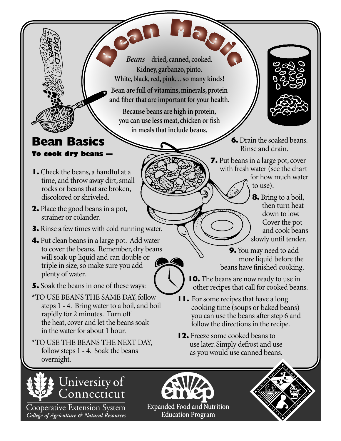

*College of Agriculture & Natural Resources*

**Expanded Food and Nutrition Education Program**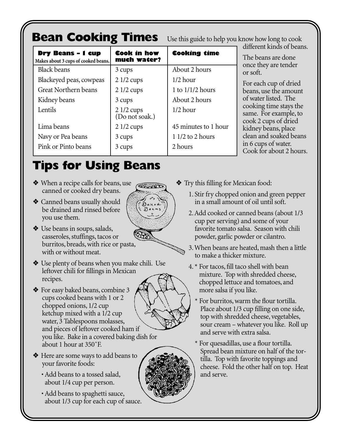| <b>Dry Beans - 1 cup</b><br>Makes about 3 cups of cooked beans. | Cook in how<br>much water?    | <b>Cooking time</b>  | different kinds of beans.<br>The beans are done                                                                                                                                                                                                      |
|-----------------------------------------------------------------|-------------------------------|----------------------|------------------------------------------------------------------------------------------------------------------------------------------------------------------------------------------------------------------------------------------------------|
| <b>Black beans</b>                                              | 3 cups                        | About 2 hours        | once they are tender<br>or soft.                                                                                                                                                                                                                     |
| Blackeyed peas, cowpeas                                         | $21/2$ cups                   | $1/2$ hour           | For each cup of dried<br>beans, use the amount<br>of water listed. The<br>cooking time stays the<br>same. For example, to<br>cook 2 cups of dried<br>kidney beans, place<br>clean and soaked beans<br>in 6 cups of water.<br>Cook for about 2 hours. |
| Great Northern beans                                            | $21/2$ cups                   | 1 to $1/1/2$ hours   |                                                                                                                                                                                                                                                      |
| Kidney beans                                                    | 3 cups                        | About 2 hours        |                                                                                                                                                                                                                                                      |
| Lentils                                                         | $21/2$ cups<br>(Do not soak.) | $1/2$ hour           |                                                                                                                                                                                                                                                      |
| Lima beans                                                      | $21/2$ cups                   | 45 minutes to 1 hour |                                                                                                                                                                                                                                                      |
| Navy or Pea beans                                               | 3 cups                        | $11/2$ to 2 hours    |                                                                                                                                                                                                                                                      |
| Pink or Pinto beans                                             | 3 cups                        | 2 hours              |                                                                                                                                                                                                                                                      |

# **Tips for Using Beans**

- ❖ When a recipe calls for beans, use canned or cooked dry beans.
- ❖ Canned beans usually should be drained and rinsed before you use them.
- **Command**
- ❖ Use beans in soups, salads, casseroles, stuffings, tacos or burritos, breads, with rice or pasta, with or without meat.

❖ Use plenty of beans when you make chili. Use leftover chili for fillings in Mexican recipes.

- ❖ For easy baked beans, combine 3 cups cooked beans with 1 or 2 chopped onions, 1/2 cup ketchup mixed with a 1/2 cup water, 3 Tablespoons molasses, and pieces of leftover cooked ham if you like. Bake in a covered baking dish for about 1 hour at 350˚F.
- ❖ Here are some ways to add beans to your favorite foods:
	- Add beans to a tossed salad, about 1/4 cup per person.
	- Add beans to spaghetti sauce, about 1/3 cup for each cup of sauce.



- ❖ Try this filling for Mexican food:
	- 1. Stir fry chopped onion and green pepper in a small amount of oil until soft.
	- 2. Add cooked or canned beans (about 1/3 cup per serving) and some of your favorite tomato salsa. Season with chili powder, garlic powder or cilantro.
	- 3. When beans are heated, mash then a little to make a thicker mixture.
	- 4. \* For tacos, fill taco shell with bean mixture. Top with shredded cheese, chopped lettuce and tomatoes, and more salsa if you like.
		- For burritos, warm the flour tortilla. Place about 1/3 cup filling on one side, top with shredded cheese, vegetables, sour cream – whatever you like. Roll up and serve with extra salsa.
		- \* For quesadillas, use a flour tortilla. Spread bean mixture on half of the tortilla. Top with favorite toppings and cheese. Fold the other half on top. Heat and serve.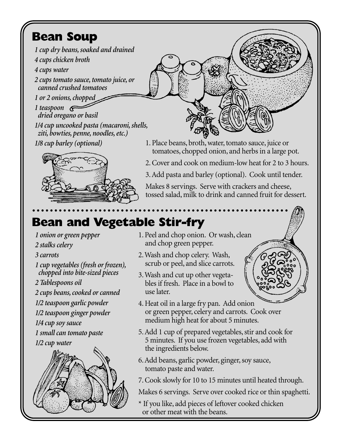### **Bean Soup**

*1 cup dry beans, soaked and drained 4 cups chicken broth*

*4 cups water*

*2 cups tomato sauce, tomato juice, or canned crushed tomatoes*

*1 or 2 onions, chopped*

*1 teaspoon dried oregano or basil 1/4 cup uncooked pasta (macaroni, shells,*

*ziti, bowties, penne, noodles, etc.)*





- 1. Place beans, broth, water, tomato sauce, juice or tomatoes, chopped onion, and herbs in a large pot.
- 2. Cover and cook on medium-low heat for 2 to 3 hours.
- 3. Add pasta and barley (optional). Cook until tender.

Makes 8 servings. Serve with crackers and cheese, tossed salad, milk to drink and canned fruit for dessert.

## **Bean and Vegetable Stir-fry**

*1 onion or green pepper 2 stalks celery*

*3 carrots*

*1 cup vegetables (fresh or frozen), chopped into bite-sized pieces*

*2 Tablespoons oil* 

*2 cups beans, cooked or canned* 

*1/2 teaspoon garlic powder*

*1/2 teaspoon ginger powder*

*1/4 cup soy sauce*

*1 small can tomato paste*

*1/2 cup water*



- 1. Peel and chop onion. Or wash, clean and chop green pepper.
- 2. Wash and chop celery. Wash, scrub or peel, and slice carrots.
- 3. Wash and cut up other vegetables if fresh. Place in a bowl to use later.
- 4. Heat oil in a large fry pan. Add onion or green pepper, celery and carrots. Cook over medium high heat for about 5 minutes.
- 5. Add 1 cup of prepared vegetables, stir and cook for 5 minutes. If you use frozen vegetables, add with the ingredients below.
- 6. Add beans, garlic powder, ginger, soy sauce, tomato paste and water.
- 7. Cook slowly for 10 to 15 minutes until heated through.
- Makes 6 servings. Serve over cooked rice or thin spaghetti.
- \* If you like, add pieces of leftover cooked chicken or other meat with the beans.